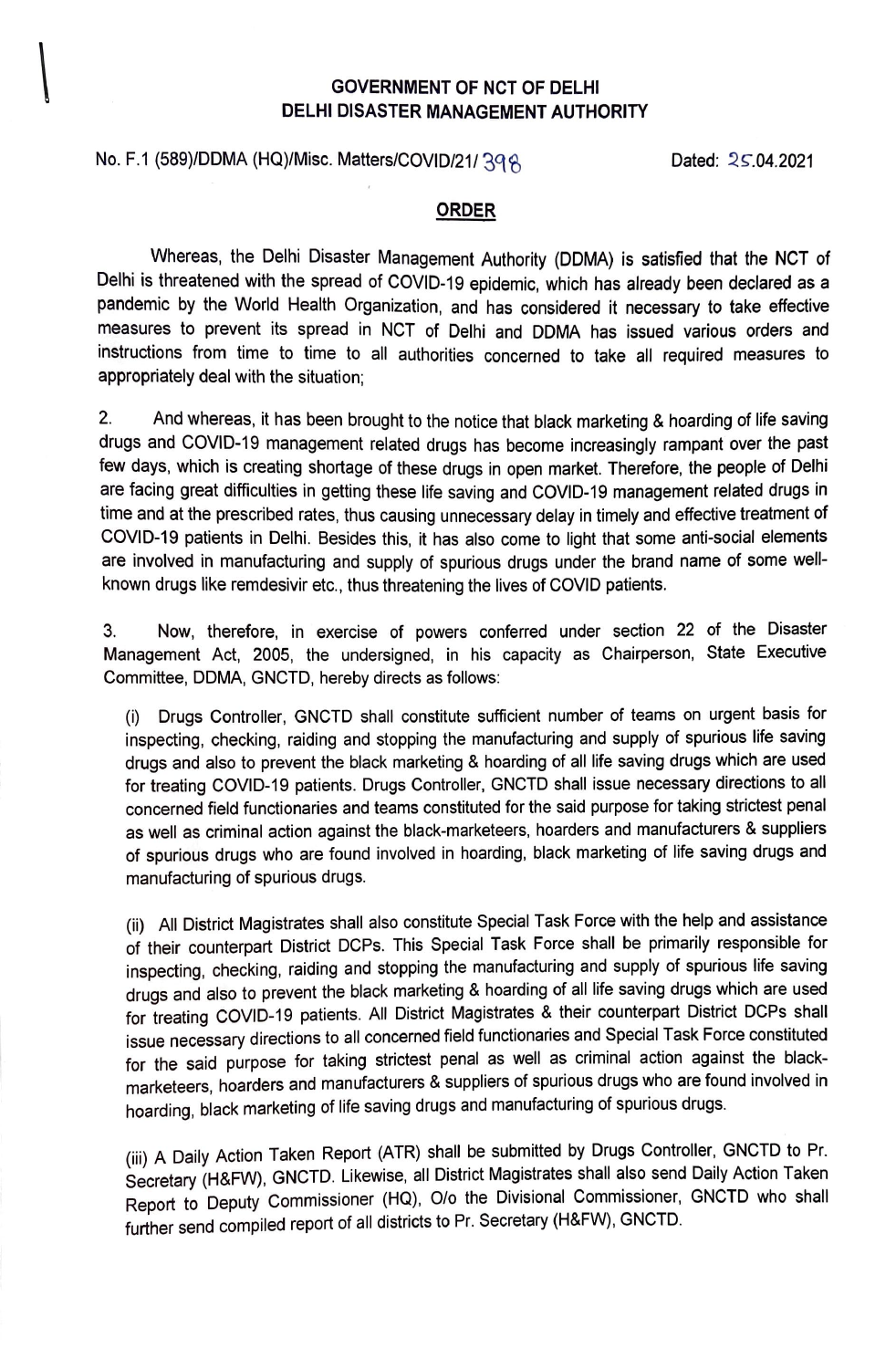## \ **GOVERNMENT OF NCT OF DELHI DELHI DISASTER MANAGEMENT AUTHORITY**

# No. F.1 (589)/DDMA (HQ)/Misc. Matters/COVID/21/ 398

Dated:  $25.04.2021$ 

#### **ORDER**

Whereas, the Delhi Disaster Management Authority (DDMA) is satisfied that the NCT of Delhi is threatened with the spread of COVID-19 epidemic, which has already been declared as a pandemic by the World Health Organization, and has considered it necessary to take effective measures to prevent its spread in NCT of Delhi and DDMA has issued various orders and instructions from time to time to all authorities concerned to take all required measures to appropriately deal with the situation;

2. And whereas, it has been brought to the notice that black marketing & hoarding of life saving drugs and COVID-19 management related drugs has become increasingly rampant over the past few days, which is creating shortage of these drugs in open market. Therefore, the people of Delhi are facing great difficulties in getting these life saving and COVID-19 management related drugs in time and at the prescribed rates, thus causing unnecessary delay in timely and effective treatment of COVID-19 patients in Delhi. Besides this, it has also come to light that some anti-social elements are involved in manufacturing and supply of spurious drugs under the brand name of some wellknown drugs like remdesivir etc., thus threatening the lives of COVID patients.

3. Now, therefore, in exercise of powers conferred under section 22 of the Disaster Management Act, 2005, the undersigned, in his capacity as Chairperson, State Executive Committee, DDMA, GNCTD, hereby directs as follows:

(i) Drugs Controller, GNCTD shall constitute sufficient number of teams on urgent basis for inspecting, checking, raiding and stopping the manufacturing and supply of spurious life saving drugs and also to prevent the black marketing & hoarding of all life saving drugs which are used for treating COVID-19 patients. Drugs Controller, GNCTD shall issue necessary directions to all concerned field functionaries and teams constituted for the said purpose for taking strictest penal as well as criminal action against the black-marketeers, hoarders and manufacturers & suppliers of spurious drugs who are found involved in hoarding, black marketing of life saving drugs and manufacturing of spurious drugs.

(ii) All District Magistrates shall also constitute Special Task Force with the help and assistance of their counterpart District DCPs. This Special Task Force shall be primarily responsible for inspecting, checking, raiding and stopping the manufacturing and supply of spurious life saving drugs and also to prevent the black marketing & hoarding of all life saving drugs which are used for treating COVID-19 patients. All District Magistrates & their counterpart District DCPs shall issue necessary directions to all concerned field functionaries and Special Task Force constituted for the said purpose for taking strictest penal as well as criminal action against the blackmarketeers, hoarders and manufacturers & suppliers of spurious drugs who are found involved in hoarding, black marketing of life saving drugs and manufacturing of spurious drugs.

(iii) A Daily Action Taken Report (ATR) shall be submitted by Drugs Controller, GNCTD to Pr. Secretary (H&FW), GNCTD. Likewise, all District Magistrates shall also send Daily Action Taken Report to Deputy Commissioner (HQ), O/o the Divisional Commissioner, GNCTD who shall further send compiled report of all districts to Pr. Secretary (H&FW), GNCTD.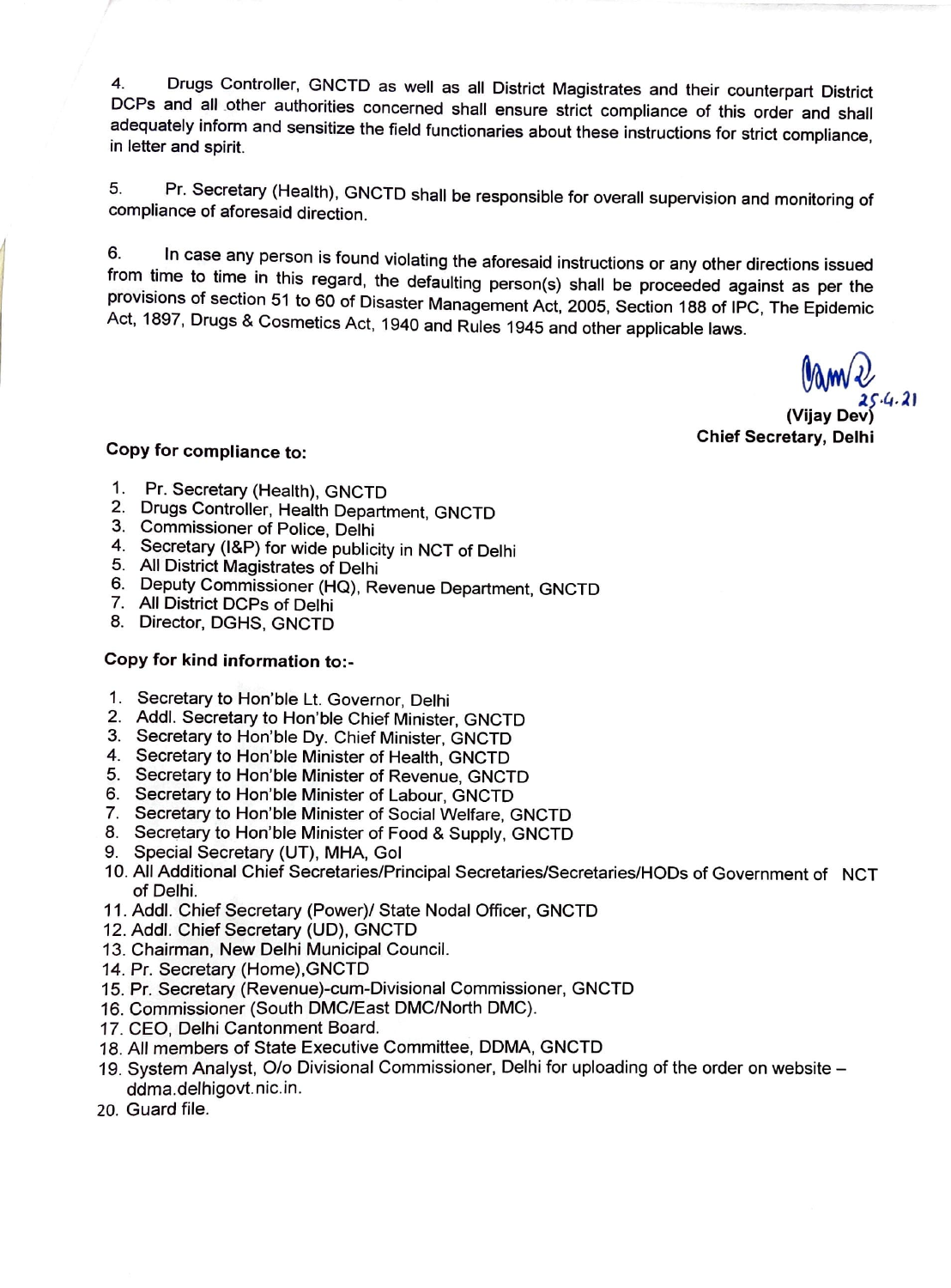4. Drugs Controller, GNCTD as well as all District Magistrates and their counterpart District DCPs and all other authorities concerned shall ensure strict compliance of this order and shall adequately inform and sensitize the field functionaries about these instructions for strict compliance, in letter and spirit.

5. Pr. Secretary (Health), GNCTD shall be responsible for overall supervision and monitoring of compliance of aforesaid direction.

6. In case any person is found violating the aforesaid instructions or any other directions issued from time to time in this regard, the defaulting person(s) shall be proceeded against as per the provisions of section 51 to 60 of Disaster Management Act, 2005, Section 188 of IPC, The Epidemic Act, 1897, Drugs & Cosmetics Act, 1940 and Rules 1945 and other applicable laws.

<sup>~</sup>*i,.1,1 .21*  **(Vijay Dev) Chief Secretary, Dell** 

# **Copy for compliance to:**

- 1. Pr. Secretary (Health), GNCTD
- 2. Drugs Controller, Health Department, GNCTD
- 3. Commissioner of Police, Delhi
- 4. Secretary (l&P) for wide publicity in NCT of Delhi
- 5. All District Magistrates of Delhi
- 6. Deputy Commissioner (HQ), Revenue Department, GNCTD
- 7. All District DCPs of Delhi
- 8. Director, DGHS, GNCTD

## **Copy for kind information to:-**

- 1. Secretary to Hon'ble Lt. Governor, Delhi
- 2. Addi. Secretary to Hon'ble Chief Minister, GNCTD
- 3. Secretary to Hon'ble Dy. Chief Minister, GNCTD
- 4. Secretary to Hon'ble Minister of Health, GNCTD
- 5. Secretary to Hon'ble Minister of Revenue, GNCTD
- 6. Secretary to Hon'ble Minister of Labour, GNCTD
- 7. Secretary to Hon'ble Minister of Social Welfare, GNCTD
- 8. Secretary to Hon'ble Minister of Food & Supply, GNCTD
- 9. Special Secretary (UT), **MHA,** Gol
- <sup>1</sup>o. All Additional Chief Secretaries/Principal Secretaries/Secretaries/HODs of Government of NCT of Delhi.
- <sup>11</sup> . Addi. Chief Secretary (Power)/ State Nodal Officer, GNCTD
- 12. Addi. Chief Secretary (UD), GNCTD
- <sup>13</sup>. Chairman, New Delhi Municipal Council.
- <sup>14</sup>. Pr. Secretary (Home),GNCTD
- <sup>15</sup>. Pr. Secretary (Revenue)-cum-Divisional Commissioner, GNCTD
- <sup>16</sup>. Commissioner (South DMC/East DMC/North DMC).
- 17. CEO, Delhi Cantonment Board.
- 18. All members of State Executive Committee, DDMA, GNCTD .
- <sup>19</sup>. System Analyst, O/o Divisional Commissioner, Delhi for uploading of the order on website ddma.delhigovt.nic.in.
- 20. Guard file.